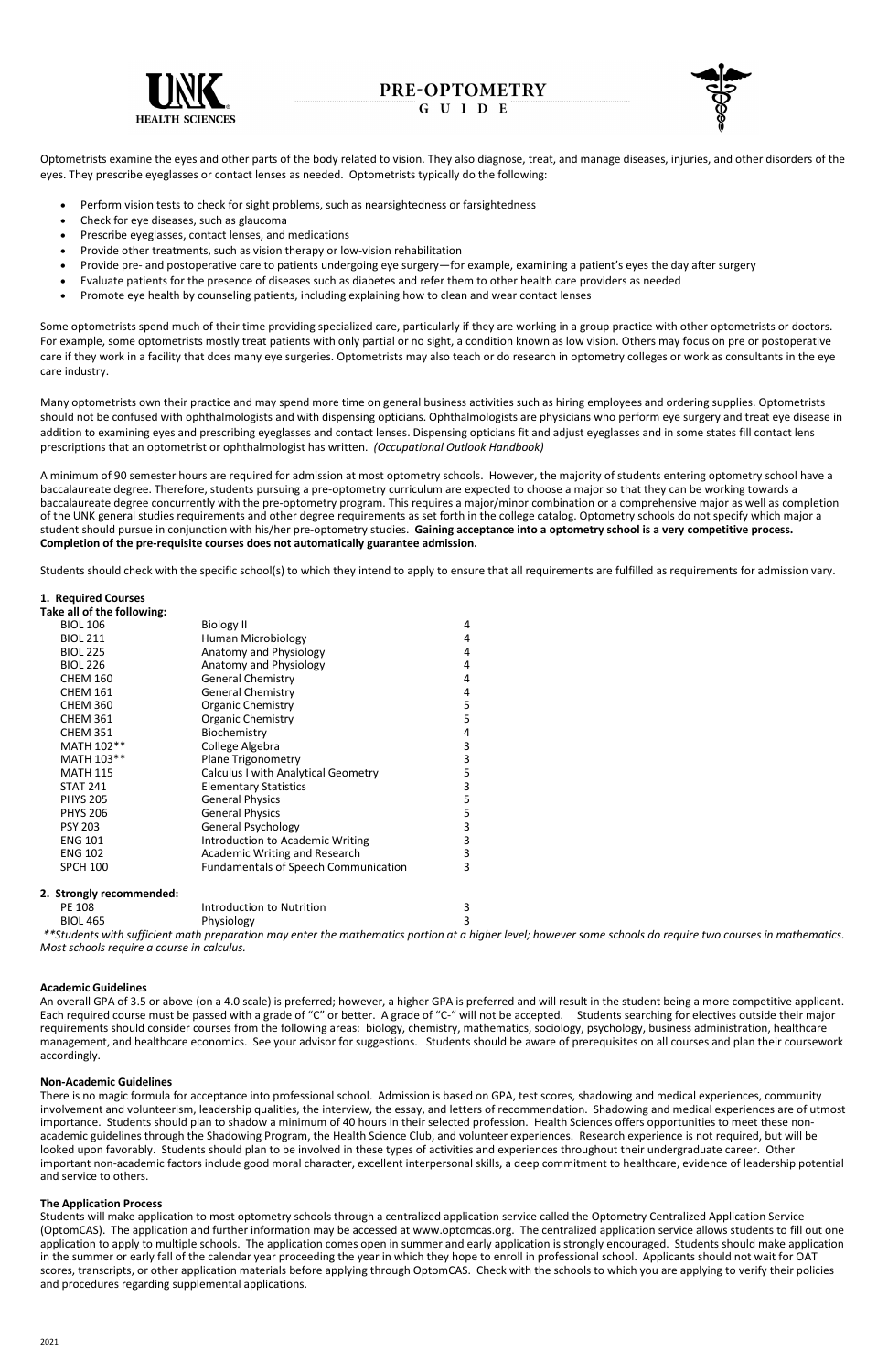

# PRE-OPTOMETRY

G U I D E



Optometrists examine the eyes and other parts of the body related to vision. They also diagnose, treat, and manage diseases, injuries, and other disorders of the eyes. They prescribe eyeglasses or contact lenses as needed. Optometrists typically do the following:

- Perform vision tests to check for sight problems, such as nearsightedness or farsightedness
- Check for eye diseases, such as glaucoma
- Prescribe eyeglasses, contact lenses, and medications
- Provide other treatments, such as vision therapy or low-vision rehabilitation
- Provide pre- and postoperative care to patients undergoing eye surgery—for example, examining a patient's eyes the day after surgery
- Evaluate patients for the presence of diseases such as diabetes and refer them to other health care providers as needed
- Promote eye health by counseling patients, including explaining how to clean and wear contact lenses

Some optometrists spend much of their time providing specialized care, particularly if they are working in a group practice with other optometrists or doctors. For example, some optometrists mostly treat patients with only partial or no sight, a condition known as low vision. Others may focus on pre or postoperative care if they work in a facility that does many eye surgeries. Optometrists may also teach or do research in optometry colleges or work as consultants in the eye care industry.

Many optometrists own their practice and may spend more time on general business activities such as hiring employees and ordering supplies. Optometrists should not be confused with ophthalmologists and with dispensing opticians. Ophthalmologists are physicians who perform eye surgery and treat eye disease in addition to examining eyes and prescribing eyeglasses and contact lenses. Dispensing opticians fit and adjust eyeglasses and in some states fill contact lens prescriptions that an optometrist or ophthalmologist has written. *(Occupational Outlook Handbook)*

A minimum of 90 semester hours are required for admission at most optometry schools. However, the majority of students entering optometry school have a baccalaureate degree. Therefore, students pursuing a pre-optometry curriculum are expected to choose a major so that they can be working towards a baccalaureate degree concurrently with the pre-optometry program. This requires a major/minor combination or a comprehensive major as well as completion of the UNK general studies requirements and other degree requirements as set forth in the college catalog. Optometry schools do not specify which major a student should pursue in conjunction with his/her pre-optometry studies. **Gaining acceptance into a optometry school is a very competitive process. Completion of the pre-requisite courses does not automatically guarantee admission.** 

Students should check with the specific school(s) to which they intend to apply to ensure that all requirements are fulfilled as requirements for admission vary.

## **1. Required Courses**

| Take all of the following: |                                             |                |
|----------------------------|---------------------------------------------|----------------|
| <b>BIOL 106</b>            | <b>Biology II</b>                           | 4              |
| <b>BIOL 211</b>            | Human Microbiology                          | 4              |
| <b>BIOL 225</b>            | Anatomy and Physiology                      | $\overline{4}$ |
| <b>BIOL 226</b>            | Anatomy and Physiology                      | 4              |
| <b>CHEM 160</b>            | <b>General Chemistry</b>                    | 4              |
| <b>CHEM 161</b>            | <b>General Chemistry</b>                    | $\overline{4}$ |
| <b>CHEM 360</b>            | Organic Chemistry                           | 5              |
| <b>CHEM 361</b>            | Organic Chemistry                           | 5              |
| <b>CHEM 351</b>            | Biochemistry                                | $\overline{4}$ |
| MATH 102**                 | College Algebra                             | 3              |
| MATH 103**                 | <b>Plane Trigonometry</b>                   | 3              |
| <b>MATH 115</b>            | <b>Calculus I with Analytical Geometry</b>  | 5              |
| <b>STAT 241</b>            | <b>Elementary Statistics</b>                | 3              |
| <b>PHYS 205</b>            | <b>General Physics</b>                      | 5              |
| <b>PHYS 206</b>            | <b>General Physics</b>                      | 5              |
| <b>PSY 203</b>             | <b>General Psychology</b>                   | 3              |
| <b>ENG 101</b>             | Introduction to Academic Writing            | 3              |
| <b>ENG 102</b>             | Academic Writing and Research               | 3              |
| <b>SPCH 100</b>            | <b>Fundamentals of Speech Communication</b> | 3              |
| 2. Strongly recommended:   |                                             |                |

| Introduction to Nutrition<br>PE 108 |            |  |
|-------------------------------------|------------|--|
| <b>BIOL 465</b>                     | Physiology |  |
|                                     |            |  |

*\*\*Students with sufficient math preparation may enter the mathematics portion at a higher level; however some schools do require two courses in mathematics. Most schools require a course in calculus.*

#### **Academic Guidelines**

An overall GPA of 3.5 or above (on a 4.0 scale) is preferred; however, a higher GPA is preferred and will result in the student being a more competitive applicant.

Each required course must be passed with a grade of "C" or better. A grade of "C-" will not be accepted. Students searching for electives outside their major requirements should consider courses from the following areas: biology, chemistry, mathematics, sociology, psychology, business administration, healthcare management, and healthcare economics. See your advisor for suggestions. Students should be aware of prerequisites on all courses and plan their coursework accordingly.

#### **Non-Academic Guidelines**

There is no magic formula for acceptance into professional school. Admission is based on GPA, test scores, shadowing and medical experiences, community involvement and volunteerism, leadership qualities, the interview, the essay, and letters of recommendation. Shadowing and medical experiences are of utmost importance. Students should plan to shadow a minimum of 40 hours in their selected profession. Health Sciences offers opportunities to meet these nonacademic guidelines through the Shadowing Program, the Health Science Club, and volunteer experiences. Research experience is not required, but will be looked upon favorably. Students should plan to be involved in these types of activities and experiences throughout their undergraduate career. Other important non-academic factors include good moral character, excellent interpersonal skills, a deep commitment to healthcare, evidence of leadership potential and service to others.

#### **The Application Process**

Students will make application to most optometry schools through a centralized application service called the Optometry Centralized Application Service (OptomCAS). The application and further information may be accessed at www.optomcas.org. The centralized application service allows students to fill out one application to apply to multiple schools. The application comes open in summer and early application is strongly encouraged. Students should make application in the summer or early fall of the calendar year proceeding the year in which they hope to enroll in professional school. Applicants should not wait for OAT scores, transcripts, or other application materials before applying through OptomCAS. Check with the schools to which you are applying to verify their policies and procedures regarding supplemental applications.